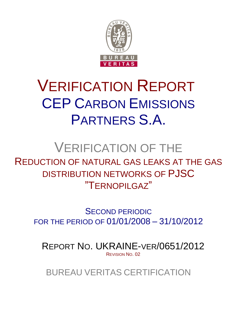

# VERIFICATION REPORT CEP CARBON EMISSIONS PARTNERS S.A.

# VERIFICATION OF THE

REDUCTION OF NATURAL GAS LEAKS AT THE GAS DISTRIBUTION NETWORKS OF PJSC "TERNOPILGAZ"

SECOND PERIODIC FOR THE PERIOD OF 01/01/2008 – 31/10/2012

REPORT NO. UKRAINE-VER/0651/2012 REVISION NO. 02

BUREAU VERITAS CERTIFICATION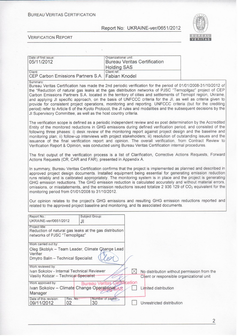**BUREAU VERITAS CERTIFICATION** 

 $\tilde{\chi}$ 

Report No: UKRAINE-ver/0651/2012



**VERIFICATION REPORT** 

| Date of first issue:<br>05/11/2012                                                                                                                                                                                                                                                                                                                                                                                                                                                                                                                                                                                                                                                                                                                                                                                                          | Organizational unit:<br><b>Bureau Veritas Certification</b>                                                                                                                                                                                                                                                                                                                                                                                                                                                                                                                                                                                                                                      |  |  |  |  |  |  |  |  |
|---------------------------------------------------------------------------------------------------------------------------------------------------------------------------------------------------------------------------------------------------------------------------------------------------------------------------------------------------------------------------------------------------------------------------------------------------------------------------------------------------------------------------------------------------------------------------------------------------------------------------------------------------------------------------------------------------------------------------------------------------------------------------------------------------------------------------------------------|--------------------------------------------------------------------------------------------------------------------------------------------------------------------------------------------------------------------------------------------------------------------------------------------------------------------------------------------------------------------------------------------------------------------------------------------------------------------------------------------------------------------------------------------------------------------------------------------------------------------------------------------------------------------------------------------------|--|--|--|--|--|--|--|--|
| Client:<br>CEP Carbon Emissions Partners S.A.                                                                                                                                                                                                                                                                                                                                                                                                                                                                                                                                                                                                                                                                                                                                                                                               | <b>Holding SAS</b><br>Client ref.:<br><b>Fabian Knodel</b>                                                                                                                                                                                                                                                                                                                                                                                                                                                                                                                                                                                                                                       |  |  |  |  |  |  |  |  |
| Summary:<br>JI Supervisory Committee, as well as the host country criteria.                                                                                                                                                                                                                                                                                                                                                                                                                                                                                                                                                                                                                                                                                                                                                                 | Bureau Veritas Certification has made the 2nd periodic verification for the period of 01/01/2008-31/10/2012 of<br>the "Reduction of natural gas leaks at the gas distribution networks of PJSC "Ternopilgaz" project of CEP<br>Carbon Emissions Partners S.A. located in the territory of cities and settlements of Ternopil region, Ukraine,<br>and applying JI specific approach, on the basis of UNFCCC criteria for the JI, as well as criteria given to<br>provide for consistent project operations, monitoring and reporting. UNFCCC criteria (but for the crediting<br>period) refer to Article 6 of the Kyoto Protocol, the JI rules and modalities and the subsequent decisions by the |  |  |  |  |  |  |  |  |
|                                                                                                                                                                                                                                                                                                                                                                                                                                                                                                                                                                                                                                                                                                                                                                                                                                             | The verification scope is defined as a periodic independent review and ex post determination by the Accredited<br>Entity of the monitored reductions in GHG emissions during defined verification period, and consisted of the<br>following three phases: i) desk review of the monitoring report against project design and the baseline and<br>monitoring plan; ii) follow-up interviews with project stakeholders; iii) resolution of outstanding issues and the<br>issuance of the final verification report and opinion. The overall verification, from Contract Review to<br>Verification Report & Opinion, was conducted using Bureau Veritas Certification internal procedures.          |  |  |  |  |  |  |  |  |
| Actions Requests (CR, CAR and FAR), presented in Appendix A.                                                                                                                                                                                                                                                                                                                                                                                                                                                                                                                                                                                                                                                                                                                                                                                | The first output of the verification process is a list of Clarification, Corrective Actions Requests, Forward                                                                                                                                                                                                                                                                                                                                                                                                                                                                                                                                                                                    |  |  |  |  |  |  |  |  |
| In summary, Bureau Veritas Certification confirms that the project is implemented as planned and described in<br>approved project design documents. Installed equipment being essential for generating emission reduction<br>runs reliably and is calibrated appropriately. The monitoring system is in place and the project is generating<br>GHG emission reductions. The GHG emission reduction is calculated accurately and without material errors,<br>omissions, or misstatements, and the emission reductions issued totalize 2 936 129 of CO <sub>2</sub> equivalent for the<br>monitoring period from 01/01/2008 to 31/10/2012.<br>Our opinion relates to the project's GHG emissions and resulting GHG emission reductions reported and<br>related to the approved project baseline and monitoring, and its associated documents. |                                                                                                                                                                                                                                                                                                                                                                                                                                                                                                                                                                                                                                                                                                  |  |  |  |  |  |  |  |  |
| Subject Group:<br>Report No.:                                                                                                                                                                                                                                                                                                                                                                                                                                                                                                                                                                                                                                                                                                                                                                                                               |                                                                                                                                                                                                                                                                                                                                                                                                                                                                                                                                                                                                                                                                                                  |  |  |  |  |  |  |  |  |
| UKRAINE-ver/0651/2012<br>JI                                                                                                                                                                                                                                                                                                                                                                                                                                                                                                                                                                                                                                                                                                                                                                                                                 |                                                                                                                                                                                                                                                                                                                                                                                                                                                                                                                                                                                                                                                                                                  |  |  |  |  |  |  |  |  |
| Project title:<br>Reduction of natural gas leaks at the gas distribution<br>networks of PJSC "Ternopilgaz"                                                                                                                                                                                                                                                                                                                                                                                                                                                                                                                                                                                                                                                                                                                                  |                                                                                                                                                                                                                                                                                                                                                                                                                                                                                                                                                                                                                                                                                                  |  |  |  |  |  |  |  |  |
| Work carried out by:                                                                                                                                                                                                                                                                                                                                                                                                                                                                                                                                                                                                                                                                                                                                                                                                                        |                                                                                                                                                                                                                                                                                                                                                                                                                                                                                                                                                                                                                                                                                                  |  |  |  |  |  |  |  |  |
| Oleg Skoblyk - Team Leader, Climate Change Lead<br>Verifier<br>Dmytro Balin - Technical Specialist                                                                                                                                                                                                                                                                                                                                                                                                                                                                                                                                                                                                                                                                                                                                          |                                                                                                                                                                                                                                                                                                                                                                                                                                                                                                                                                                                                                                                                                                  |  |  |  |  |  |  |  |  |
| Work reviewed by:                                                                                                                                                                                                                                                                                                                                                                                                                                                                                                                                                                                                                                                                                                                                                                                                                           |                                                                                                                                                                                                                                                                                                                                                                                                                                                                                                                                                                                                                                                                                                  |  |  |  |  |  |  |  |  |
| Ivan Sokolov - Internal Technical Reviewer<br>Vasiliy Kobzar - Technical Specialist                                                                                                                                                                                                                                                                                                                                                                                                                                                                                                                                                                                                                                                                                                                                                         | $\boxtimes$<br>No distribution without permission from the<br>Client or responsible organizational unit                                                                                                                                                                                                                                                                                                                                                                                                                                                                                                                                                                                          |  |  |  |  |  |  |  |  |
| Work approved by:<br><b>Bureau Verita</b><br>Ivan Sokolov - Climate Change Operational                                                                                                                                                                                                                                                                                                                                                                                                                                                                                                                                                                                                                                                                                                                                                      | cation<br>Limited distribution                                                                                                                                                                                                                                                                                                                                                                                                                                                                                                                                                                                                                                                                   |  |  |  |  |  |  |  |  |
| Manager                                                                                                                                                                                                                                                                                                                                                                                                                                                                                                                                                                                                                                                                                                                                                                                                                                     |                                                                                                                                                                                                                                                                                                                                                                                                                                                                                                                                                                                                                                                                                                  |  |  |  |  |  |  |  |  |
| Date of this revision:<br>Rev. No.:<br>09/11/2012<br>02<br>30                                                                                                                                                                                                                                                                                                                                                                                                                                                                                                                                                                                                                                                                                                                                                                               | Number of pages:<br>Unrestricted distribution                                                                                                                                                                                                                                                                                                                                                                                                                                                                                                                                                                                                                                                    |  |  |  |  |  |  |  |  |

 $\overline{2}$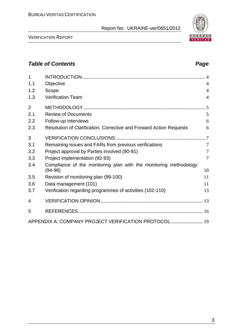VERIFICATION REPORT

# *Table of Contents Page*

| $\mathbf{1}$ |                                                                     |                |
|--------------|---------------------------------------------------------------------|----------------|
| 1.1          | Objective                                                           | $\overline{4}$ |
| 1.2          | Scope                                                               | $\overline{4}$ |
| 1.3          | <b>Verification Team</b>                                            | $\overline{4}$ |
| 2            |                                                                     |                |
| 2.1          | <b>Review of Documents</b>                                          | 5              |
| 2.2          | Follow-up Interviews                                                | 6              |
| 2.3          | Resolution of Clarification, Corrective and Forward Action Requests | 6              |
| 3            |                                                                     |                |
| 3.1          | Remaining issues and FARs from previous verifications               | $\overline{7}$ |
| 3.2          | Project approval by Parties involved (90-91)                        | $\tau$         |
| 3.3          | Project implementation (92-93)                                      | $\overline{7}$ |
| 3.4          | Compliance of the monitoring plan with the monitoring methodology   |                |
|              | $(94-98)$                                                           | 10             |
| 3.5          | Revision of monitoring plan (99-100)                                | 11             |
| 3.6          | Data management (101)                                               | 11             |
| 3.7          | Verification regarding programmes of activities (102-110)           | 13             |
| 4            |                                                                     |                |
| 5            |                                                                     |                |
|              | APPENDIX A: COMPANY PROJECT VERIFICATION PROTOCOL 19                |                |

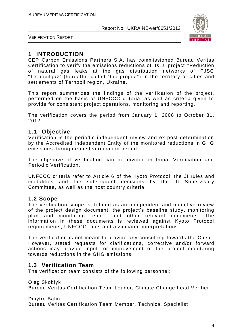

VERIFICATION REPORT

# **1 INTRODUCTION**

CEP Carbon Emissions Partners S.A. has commissioned Bureau Veritas Certification to verify the emissions reductions of its JI project "Reduction of natural gas leaks at the gas distribution networks of PJSC "Ternopilgaz" (hereafter called "the project") in the territory of cities and settlements of Ternopil region, Ukraine.

This report summarizes the findings of the verification of the project, performed on the basis of UNFCCC criteria, as well as criteria given to provide for consistent project operations, monitoring and reporting.

The verification covers the period from January 1, 2008 to October 31, 2012.

# **1.1 Objective**

Verification is the periodic independent review and ex post determination by the Accredited Independent Entity of the monitored reductions in GHG emissions during defined verification period.

The objective of verification can be divided in Initial Verification and Periodic Verification.

UNFCCC criteria refer to Article 6 of the Kyoto Protocol, the JI rules and modalities and the subsequent decisions by the JI Supervisory Committee, as well as the host country criteria.

# **1.2 Scope**

The verification scope is defined as an independent and objective review of the project design document, the project's baseline study, monitoring plan and monitoring report, and other relevant documents. The information in these documents is reviewed against Kyoto Protocol requirements, UNFCCC rules and associated interpretations.

The verification is not meant to provide any consulting towards the Client. However, stated requests for clarifications, corrective and/or forward actions may provide input for improvement of the project monitoring towards reductions in the GHG emissions.

# **1.3 Verification Team**

The verification team consists of the following personnel:

Oleg Skoblyk Bureau Veritas Certification Team Leader, Climate Change Lead Verifier

Dmytro Balin

Bureau Veritas Certification Team Member, Technical Specialist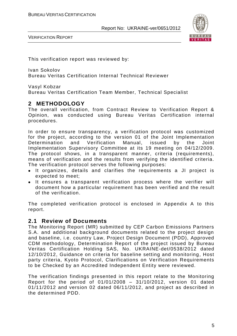

VERIFICATION REPORT

This verification report was reviewed by:

Ivan Sokolov Bureau Veritas Certification Internal Technical Reviewer

Vasyl Kobzar

Bureau Veritas Certification Team Member, Technical Specialist

# **2 METHODOLOGY**

The overall verification, from Contract Review to Verification Report & Opinion, was conducted using Bureau Veritas Certification internal procedures.

In order to ensure transparency, a verification protocol was customized for the project, according to the version 01 of the Joint Implementation Determination and Verification Manual, issued by the Joint Implementation Supervisory Committee at its 19 meeting on 04/12/2009. The protocol shows, in a transparent manner, criteria (requirements), means of verification and the results from verifying the identified criteria. The verification protocol serves the following purposes:

- It organizes, details and clarifies the requirements a JI project is expected to meet;
- It ensures a transparent verification process where the verifier will document how a particular requirement has been verified and the result of the verification.

The completed verification protocol is enclosed in Appendix A to this report.

# **2.1 Review of Documents**

The Monitoring Report (MR) submitted by CEP Carbon Emissions Partners S.A. and additional background documents related to the project design and baseline, i.e. country Law, Project Design Document (PDD), Approved CDM methodology, Determination Report of the project issued by Bureau Veritas Certification Holding SAS, No. UKRAINE-det/0538/2012 dated 12/10/2012, Guidance on criteria for baseline setting and monitoring, Host party criteria, Kyoto Protocol, Clarifications on Verification Requirements to be Checked by an Accredited Independent Entity were reviewed.

The verification findings presented in this report relate to the Monitoring Report for the period of 01/01/2008 – 31/10/2012, version 01 dated 01/11/2012 and version 02 dated 06/11/2012, and project as described in the determined PDD.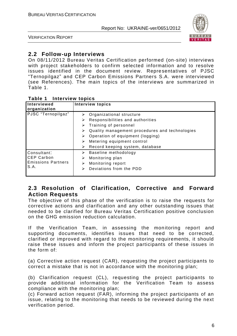

VERIFICATION REPORT

# **2.2 Follow-up Interviews**

On 08/11/2012 Bureau Veritas Certification performed (on-site) interviews with project stakeholders to confirm selected information and to resolve issues identified in the document review. Representatives of PJSC "Ternopilgaz" and CEP Carbon Emissions Partners S.A. were interviewed (see References). The main topics of the interviews are summarized in Table 1.

#### **Table 1 Interview topics**

| Interviewed<br>organization                                           | <b>Interview topics</b>                                                                                                                                                                                                                                                         |
|-----------------------------------------------------------------------|---------------------------------------------------------------------------------------------------------------------------------------------------------------------------------------------------------------------------------------------------------------------------------|
| PJSC "Ternopilgaz"                                                    | Organizational structure<br>➤<br>Responsibilities and authorities<br>⋗<br>Training of personnel<br>➤<br>Quality management procedures and technologies<br>⋗<br>Operation of equipment (logging)<br>⋗<br>Metering equipment control<br>⋗<br>Record keeping system, database<br>⋗ |
| Consultant:<br><b>CEP Carbon</b><br><b>Emissions Partners</b><br>S.A. | Baseline methodology<br>➤<br>Monitoring plan<br>⋗<br>Monitoring report<br>⋗<br>Deviations from the PDD<br>⋗                                                                                                                                                                     |

# **2.3 Resolution of Clarification, Corrective and Forward Action Requests**

The objective of this phase of the verification is to raise the requests for corrective actions and clarification and any other outstanding issues that needed to be clarified for Bureau Veritas Certification positive conclusion on the GHG emission reduction calculation.

If the Verification Team, in assessing the monitoring report and supporting documents, identifies issues that need to be corrected, clarified or improved with regard to the monitoring requirements, it should raise these issues and inform the project participants of these issues in the form of:

(a) Corrective action request (CAR), requesting the project participants to correct a mistake that is not in accordance with the monitoring plan;

(b) Clarification request (CL), requesting the project participants to provide additional information for the Verification Team to assess compliance with the monitoring plan;

(c) Forward action request (FAR), informing the project participants of an issue, relating to the monitoring that needs to be reviewed during the next verification period.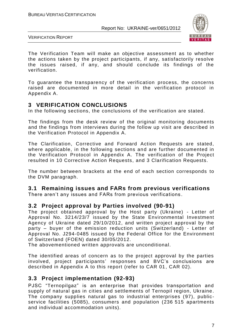

VERIFICATION REPORT

The Verification Team will make an objective assessment as to whether the actions taken by the project participants, if any, satisfactorily resolve the issues raised, if any, and should conclude its findings of the verification.

To guarantee the transparency of the verification process, the concerns raised are documented in more detail in the verification protocol in Appendix A.

# **3 VERIFICATION CONCLUSIONS**

In the following sections, the conclusions of the verification are stated.

The findings from the desk review of the original monitoring documents and the findings from interviews during the follow up visit are described in the Verification Protocol in Appendix A.

The Clarification, Corrective and Forward Action Requests are stated, where applicable, in the following sections and are further documented in the Verification Protocol in Appendix A. The verification of the Project resulted in 10 Corrective Action Requests, and 3 Clarification Requests.

The number between brackets at the end of each section corresponds to the DVM paragraph.

# **3.1 Remaining issues and FARs from previous verifications**

There aren't any issues and FARs from previous verifications .

# **3.2 Project approval by Parties involved (90-91)**

The project obtained approval by the Host party (Ukraine) - Letter of Approval No. 3214/23/7 issued by the State Environmental Investment Agency of Ukraine dated 29/10/2012, and written project approval by the party – buyer of the emission reduction units (Switzerland) - Letter of Approval No. J294-0485 issued by the Federal Office for the Environment of Switzerland (FOEN) dated 30/05/2012.

The abovementioned written approvals are unconditional.

The identified areas of concern as to the project approval by the parties involved, project participants' responses and BVC's conclusions are described in Appendix A to this report (refer to CAR 01, CAR 02).

# **3.3 Project implementation (92-93)**

PJSC "Ternopilgaz" is an enterprise that provides transportation and supply of natural gas in cities and settlements of Ternopil region, Ukraine. The company supplies natural gas to industrial enterprises (97), publicservice facilities (5085), consumers and population (236 515 apartments and individual accommodation units).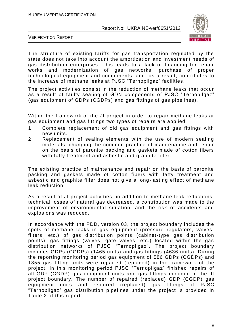

VERIFICATION REPORT

The structure of existing tariffs for gas transportation regulated by the state does not take into account the amortization and investment needs of gas distribution enterprises. This leads to a lack of financing for repair works and modernization of gas networks, purchase of proper technological equipment and components, and, as a result, contributes to the increase of methane leaks at PJSC "Ternopilgaz" facilities.

The project activities consist in the reduction of methane leaks that occur as a result of faulty sealing of GDN components of PJSC "Ternopilgaz" (gas equipment of GDPs (CGDPs) and gas fittings of gas pipelines).

Within the framework of the JI project in order to repair methane leaks at gas equipment and gas fittings two types of repairs are applied:

- 1. Complete replacement of old gas equipment and gas fittings with new units.
- 2. Replacement of sealing elements with the use of modern sealing materials, changing the common practice of maintenance and repair on the basis of paronite packing and gaskets made of cotton fibers with fatty treatment and asbestic and graphite filler.

The existing practice of maintenance and repair on the basis of paronite packing and gaskets made of cotton fibers with fatty treatment and asbestic and graphite filler does not give a long-lasting effect of methane leak reduction.

As a result of JI project activities, in addition to methane leak reductions, technical losses of natural gas decreased, a contribution was made to the improvement of environmental situation, and the risk of accidents and explosions was reduced.

In accordance with the PDD, version 03, the project boundary includes the spots of methane leaks in gas equipment (pressure regulators, valves, filters, etc.) of gas distribution points (cabinet-type gas distribution points); gas fittings (valves, gate valves, etc.) located within the gas distribution networks of PJSC "Ternopilgaz". The project boundary includes GDPs (CGDPs) (1465 units) and gas fittings (4636 units). During the reporting monitoring period gas equipment of 586 GDPs (CGDPs) and 1855 gas fitting units were repaired (replaced) in the framework of the project. In this monitoring period PJSC "Ternopilgaz" finished repairs of all GDP (CGDP) gas equipment units and gas fittings included in the JI project boundary. The number of repaired (replaced) GDP (CGDP) gas equipment units and repaired (replaced) gas fittings of PJSC "Ternopilgaz" gas distribution pipelines under the project is provided in Table 2 of this report: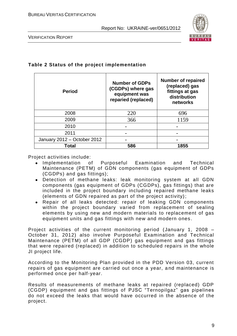

VERIFICATION REPORT

#### **Table 2 Status of the project implementation**

| <b>Period</b>               | <b>Number of GDPs</b><br>(CGDPs) where gas<br>equipment was<br>reparied (replaced) | <b>Number of repaired</b><br>(replaced) gas<br>fittings at gas<br>distribution<br>networks |  |  |
|-----------------------------|------------------------------------------------------------------------------------|--------------------------------------------------------------------------------------------|--|--|
| 2008                        | 220                                                                                | 696                                                                                        |  |  |
| 2009                        | 366                                                                                | 1159                                                                                       |  |  |
| 2010                        |                                                                                    |                                                                                            |  |  |
| 2011                        |                                                                                    |                                                                                            |  |  |
| January 2012 - October 2012 |                                                                                    |                                                                                            |  |  |
| Total                       | 586                                                                                | 1855                                                                                       |  |  |

Project activities include:

- Implementation of Purposeful Examination and Technical Maintenance (PETM) of GDN components (gas equipment of GDPs (CGDPs) and gas fittings);
- Detection of methane leaks: leak monitoring system at all GDN components (gas equipment of GDPs (CGDPs), gas fittings) that are included in the project boundary including repaired methane leaks (elements of GDN repaired as part of the project activity);
- Repair of all leaks detected: repair of leaking GDN components within the project boundary varied from replacement of sealing elements by using new and modern materials to replacement of gas equipment units and gas fittings with new and modern ones .

Project activities of the current monitoring period (January 1, 2008 – October 31, 2012) also involve Purposeful Examination and Technical Maintenance (PETM) of all GDP (CGDP) gas equipment and gas fittings that were repaired (replaced) in addition to scheduled repairs in the whole JI project life.

According to the Monitoring Plan provided in the PDD Version 03, current repairs of gas equipment are carried out once a year, a nd maintenance is performed once per half-year.

Results of measurements of methane leaks at repaired (replaced) GDP (CGDP) equipment and gas fittings of PJSC "Ternopilgaz" gas pipelines do not exceed the leaks that would have occurred in the absence of the project.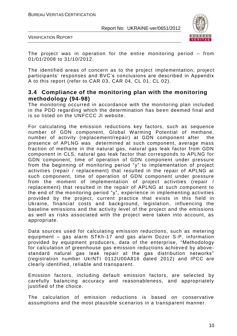

VERIFICATION REPORT

The project was in operation for the entire monitoring period – from 01/01/2008 to 31/10/2012.

The identified areas of concern as to the project implementation, project participants' responses and BVC's conclusions are described in Appendix A to this report (refer to CAR 03, CAR 04, CL 01, CL 02).

# **3.4 Compliance of the monitoring plan with the monitoring methodology (94-98)**

The monitoring occurred in accordance with the monitoring plan included in the PDD regarding which the determination has been deemed final and is so listed on the UNFCCC JI website.

For calculating the emission reductions key factors, such as sequence number of GDN component, Global Warming Potential of methane, number of activity (replacement/repair) at GDN component after the presence of APLNG was determined at such component, average mass fraction of methane in the natural gas, natural gas leak factor from GDN component in CLS, natural gas leak factor that corresponds to APLNG for GDN component, time of operation of GDN component under pressure from the beginning of monitoring period "y" to implementation of project activities (repair / replacement) that resulted in the repair of APLNG at such component, time of operation of GDN component under pressure from the moment of implementation of project activities (repair / replacement) that resulted in the repair of APLNG at such component to the end of the monitoring period "y", experience in implementing activities provided by the project, current practice that exists in this field in Ukraine, financial costs and background, legislation, influencing the baseline emissions and the activity level of the project and the emissions as well as risks associated with the project were taken into account, as appropriate.

Data sources used for calculating emission reductions, such as metering equipment – gas alarm STKh-17 and gas alarm Dozor S-P, information provided by equipment producers, data of the enterprise, "Methodology for calculation of greenhouse gas emission reductions achieved by abovestandard natural gas leak repair at the gas distribution networks" (registration number UkrNTI 0112U00A816 dated 2012) and IPCC are clearly identified, reliable and transparent.

Emission factors, including default emission factors, are selected by carefully balancing accuracy and reasonableness, and appropriately justified of the choice.

The calculation of emission reductions is based on conservative assumptions and the most plausible scenarios in a transparent manner.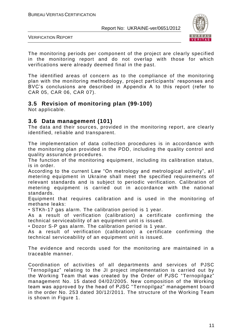

VERIFICATION REPORT

The monitoring periods per component of the project are clearly specified in the monitoring report and do not overlap with those for which verifications were already deemed final in the past.

The identified areas of concern as to the compliance of the monitoring plan with the monitoring methodology, project participants' responses and BVC's conclusions are described in Appendix A to this report (refer to CAR 05, CAR 06, CAR 07).

# **3.5 Revision of monitoring plan (99-100)**

Not applicable.

# **3.6 Data management (101)**

The data and their sources, provided in the monitoring report, are clearly identified, reliable and transparent.

The implementation of data collection procedures is in accordance with the monitoring plan provided in the PDD, including the quality control and quality assurance procedures.

The function of the monitoring equipment, including its calibration status, is in order.

According to the current Law "On metrology and metrological activity", all metering equipment in Ukraine shall meet the specified requirements of relevant standards and is subject to periodic verification. Calibration of metering equipment is carried out in accordance with the national standards.

Equipment that requires calibration and is used in the monitoring of methane leaks:

• STKh-17 gas alarm. The calibration period is 1 year.

As a result of verification (calibration) a certificate confirming the technical serviceability of an equipment unit is issued.

• Dozor S-P gas alarm. The calibration period is 1 year.

As a result of verification (calibration) a ce rtificate confirming the technical serviceability of an equipment unit is issued.

The evidence and records used for the monitoring are maintained in a traceable manner.

Coordination of activities of all departments and services of PJSC "Ternopilgaz" relating to the JI project implementation is carried out by the Working Team that was created by the Order of PJSC "Ternopilgaz" management No. 15 dated 04/02/2005. New composition of the Working team was approved by the head of PJSC "Ternopilgaz" management board in the order No. 253 dated 30/12/2011. The structure of the Working Team is shown in Figure 1.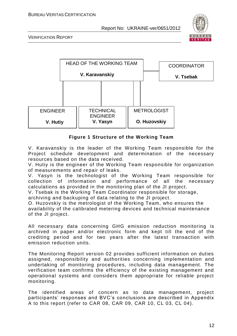

VERIFICATION REPORT



#### **Figure 1 Structure of the Working Team**

V. Karavanskiy is the leader of the Working Team responsible for the Project schedule development and determination of the necessary resources based on the data received.

V. Hutiy is the engineer of the Working Team responsible for organization of measurements and repair of leaks.

V. Yasyn is the technologist of the Working Team responsible for collection of information and performance of all the necessary calculations as provided in the monitoring plan of the JI project.

V. Tsebak is the Working Team Coordinator responsible for storage,

archiving and backuping of data relating to the JI project.

O. Huzovskiy is the metrologist of the Working Team, who ensures the availability of the calibrated metering devices and technical maintenance of the JI project.

All necessary data concerning GHG emission reduction monitoring is archived in paper and/or electronic form and kept till the end of the crediting period and for two years after the latest transaction with emission reduction units.

The Monitoring Report version 02 provides sufficient information on duties assigned, responsibility and authorities concerning implementation and undertaking of monitoring procedures, including data management. The verification team confirms the efficiency of the existing management and operational systems and considers them appropriate for reliable project monitoring.

The identified areas of concern as to data management, project participants' responses and BVC's conclusions are described in Appendix A to this report (refer to CAR 08, CAR 09, CAR 10, CL 03, CL 04).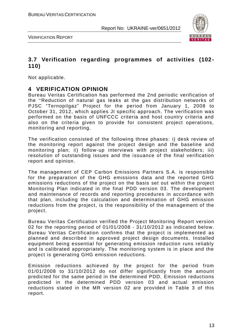

VERIFICATION REPORT

# **3.7 Verification regarding programmes of activities (102- 110)**

Not applicable.

# **4 VERIFICATION OPINION**

Bureau Veritas Certification has performed the 2nd periodic verification of the "Reduction of natural gas leaks at the gas distribution networks of PJSC "Ternopilgaz" Project for the period from January 1, 2008 to October 31, 2012, which applies JI specific approach. The verification was performed on the basis of UNFCCC criteria and host country criteria and also on the criteria given to provide for consistent project operations, monitoring and reporting.

The verification consisted of the following three phases: i) desk review of the monitoring report against the project design and the baseline and monitoring plan; ii) follow-up interviews with project stakeholders; iii) resolution of outstanding issues and the issuance of the final verification report and opinion.

The management of CEP Carbon Emissions Partners S.A. is responsible for the preparation of the GHG emissions data and the reported GHG emissions reductions of the project on the basis set out within the project Monitoring Plan indicated in the final PDD version 03. The development and maintenance of records and reporting procedures in accordance with that plan, including the calculation and determination of GHG emission reductions from the project, is the responsibility of the management of the project.

Bureau Veritas Certification verified the Project Monitoring Report version 02 for the reporting period of 01/01/2008 - 31/10/2012 as indicated below. Bureau Veritas Certification confirms that the project is implemented as planned and described in approved project design documents. Installed equipment being essential for generating emission reduction runs reliably and is calibrated appropriately. The monitoring system is in place and the project is generating GHG emission reductions.

Emission reductions achieved by the project for the period from 01/01/2008 to 31/10/2012 do not differ significantly from the amount predicted for the same period in the determined PDD. Emission reductions predicted in the determined PDD version 03 and actual emission reductions stated in the MR version 02 are provided in Table 3 of this report.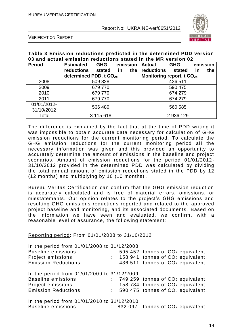

VERIFICATION REPORT

#### **Table 3 Emission reductions predicted in the determined PDD version 03 and actual emission reductions stated in the MR version 02**

| <b>Period</b> | <b>Estimated</b>                   | <b>GHG</b> |         | emission | <b>Actual</b>                         | <b>GHG</b> |    | emission |
|---------------|------------------------------------|------------|---------|----------|---------------------------------------|------------|----|----------|
|               | reductions                         | stated     | in      | the      | reductions                            | stated     | in | the      |
|               | determined PDD, t CO <sub>2e</sub> |            |         |          | Monitoring report, t CO <sub>2e</sub> |            |    |          |
| 2008          |                                    | 509 828    |         |          |                                       | 436 511    |    |          |
| 2009          | 679770                             |            |         | 590 475  |                                       |            |    |          |
| 2010          | 679770                             |            | 674 279 |          |                                       |            |    |          |
| 2011          | 679 770                            |            | 674 279 |          |                                       |            |    |          |
| 01/01/2012-   |                                    |            |         |          |                                       |            |    |          |
| 31/10/2012    | 566 480                            |            | 560 585 |          |                                       |            |    |          |
| Total         |                                    | 3 115 618  |         |          | 2 936 129                             |            |    |          |

The difference is explained by the fact that at the time of PDD writing it was impossible to obtain accurate data necessary for calculation of GHG emission reductions for the current monitoring period. To calculate the GHG emission reductions for the current monitoring period all the necessary information was given and this provided an opportunity to accurately determine the amount of emissions in the baseline and project scenarios. Amount of emission reductions for the period 01/01/2012- 31/10/2012 provided in the determined PDD was calculated by dividing the total annual amount of emission reductions stated in the PDD by 12 (12 months) and multiplying by 10 (10 months) .

Bureau Veritas Certification can confirm that the GHG emission reduction is accurately calculated and is free of material errors, omissions, or misstatements. Our opinion relates to the project's GHG emissions and resulting GHG emissions reductions reported and related to the approved project baseline and monitoring, and its associated documents. Based on the information we have seen and evaluated, we confirm, with a reasonable level of assurance, the following statement:

#### Reporting period: From 01/01/2008 to 31/10/2012

| In the period from 01/01/2008 to 31/12/2008 |  |                                               |
|---------------------------------------------|--|-----------------------------------------------|
| <b>Baseline emissions</b>                   |  | 595 452 tonnes of CO <sub>2</sub> equivalent. |
| Project emissions                           |  | 158 941 tonnes of CO <sub>2</sub> equivalent. |
| <b>Emission Reductions</b>                  |  | 436 511 tonnes of CO <sub>2</sub> equivalent. |
| In the period from 01/01/2009 to 31/12/2009 |  |                                               |
| <b>Baseline emissions</b>                   |  | 749 259 tonnes of CO <sub>2</sub> equivalent. |
| Project emissions                           |  | 158 784 tonnes of CO <sub>2</sub> equivalent. |
| <b>Emission Reductions</b>                  |  | 590 475 tonnes of CO <sub>2</sub> equivalent. |
| In the period from 01/01/2010 to 31/12/2010 |  |                                               |
| <b>Baseline emissions</b>                   |  | $: 832097$ tonnes of $CO2$ equivalent.        |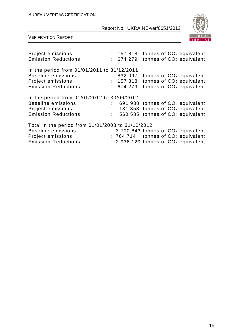

| Project emissions<br><b>Emission Reductions</b>   | : 674279 | $: 157818$ tonnes of $CO2$ equivalent.<br>tonnes of CO <sub>2</sub> equivalent. |
|---------------------------------------------------|----------|---------------------------------------------------------------------------------|
| In the period from 01/01/2011 to 31/12/2011       |          |                                                                                 |
| <b>Baseline emissions</b>                         | : 832097 | tonnes of CO <sub>2</sub> equivalent.                                           |
| Project emissions                                 | : 157818 | tonnes of CO <sub>2</sub> equivalent.                                           |
| <b>Emission Reductions</b>                        | : 674279 | tonnes of CO <sub>2</sub> equivalent.                                           |
| In the period from 01/01/2012 to 30/06/2012       |          |                                                                                 |
| <b>Baseline emissions</b>                         |          | 691 938 tonnes of CO <sub>2</sub> equivalent.                                   |
| Project emissions                                 |          | 131 353 tonnes of CO <sub>2</sub> equivalent.                                   |
| <b>Emission Reductions</b>                        |          | 560 585 tonnes of CO <sub>2</sub> equivalent.                                   |
| Total in the period from 01/01/2008 to 31/10/2012 |          |                                                                                 |
| <b>Baseline emissions</b>                         |          | $: 3700843$ tonnes of $CO2$ equivalent.                                         |
| Project emissions                                 |          | : 764 714 tonnes of CO <sub>2</sub> equivalent.                                 |
| <b>Emission Reductions</b>                        |          | $: 2936129$ tonnes of $CO2$ equivalent.                                         |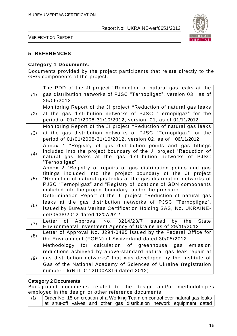

VERIFICATION REPORT

#### **5 REFERENCES**

# **Category 1 Documents:**

Documents provided by the project participants that relate directly to the GHG components of the project.

|                | The PDD of the JI project "Reduction of natural gas leaks at the                 |
|----------------|----------------------------------------------------------------------------------|
| /1/            | gas distribution networks of PJSC "Ternopilgaz", version 03, as of               |
|                | 25/06/2012                                                                       |
|                | Monitoring Report of the JI project "Reduction of natural gas leaks              |
| $\frac{12}{1}$ | at the gas distribution networks of PJSC "Ternopilgaz" for the                   |
|                | period of 01/01/2008-31/10/2012, version 01, as of 01/11/2012                    |
|                | Monitoring Report of the JI project "Reduction of natural gas leaks              |
| /3/            | at the gas distribution networks of PJSC "Ternopilgaz" for the                   |
|                | period of 01/01/2008-31/10/2012, version 02, as of 06/11/2012                    |
|                | Annex 1 "Registry of gas distribution points and gas fittings                    |
| /4/            | included into the project boundary of the JI project "Reduction of               |
|                | natural gas leaks at the gas distribution networks of PJSC                       |
|                | "Ternopilgaz"<br>Annex 2 "Registry of repairs of gas distribution points and gas |
|                | fittings included into the project boundary of the JI project                    |
| /5/            | "Reduction of natural gas leaks at the gas distribution networks of              |
|                | PJSC "Ternopilgaz" and "Registry of locations of GDN components                  |
|                | included into the project boundary, under the pressure"                          |
|                | Determination Report of the JI project "Reduction of natural gas                 |
| /6/            | leaks at the gas distribution networks of PJSC "Ternopilgaz",                    |
|                | issued by Bureau Veritas Certification Holding SAS, No. UKRAINE-                 |
|                | det/0538/2012 dated 12/07/2012                                                   |
| 171            | Letter of Approval No. 3214/23/7 issued by the<br><b>State</b>                   |
|                | Environmental Investment Agency of Ukraine as of 29/10/2012                      |
| /8/            | Letter of Approval No. J294-0485 issued by the Federal Office for                |
|                | the Environment (FOEN) of Switzerland dated 30/05/2012.                          |
|                | Methodology for calculation of greenhouse gas emission                           |
|                | reductions achieved by above-standard natural gas leak repair at                 |
| /9/            | gas distribution networks" that was developed by the Institute of                |
|                | Gas of the National Academy of Sciences of Ukraine (registration                 |
|                | number UkrNTI 0112U00A816 dated 2012)                                            |

#### **Category 2 Documents:**

Background documents related to the design and/or methodologies employed in the design or other reference documents.

|  |  |  |  | Order No. 15 on creation of a Working Team on control over natural gas leaks I |  |
|--|--|--|--|--------------------------------------------------------------------------------|--|
|  |  |  |  | at shut-off valves and other gas distribution network equipment dated          |  |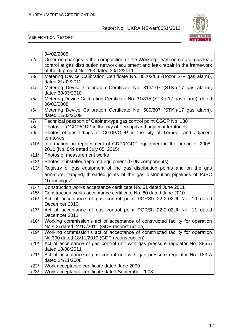

|      | 04/02/2005                                                                                                                   |
|------|------------------------------------------------------------------------------------------------------------------------------|
| /2/  | Order on changes in the composition of the Working Team on natural gas leak                                                  |
|      | control at gas distribution network equipment and leak repair in the framework                                               |
|      | of the JI project No. 253 dated 30/12/2011                                                                                   |
| /3/  | Metering Device Calibration Certificate No. 80202/63 (Dozor S-P gas alarm),                                                  |
|      | dated 21/02/2012                                                                                                             |
| /4/  | Metering Device Calibration Certificate No. 813/107 (STKh-17 gas alarm),                                                     |
|      | dated 30/03/2010                                                                                                             |
| /5/  | Metering Device Calibration Certificate No. 31/815 (STKh-17 gas alarm), dated                                                |
|      | 06/02/2008                                                                                                                   |
| /6/  | Metering Device Calibration Certificate No. 580/807 (STKh-17 gas alarm),                                                     |
|      | dated 11/03/2009                                                                                                             |
| /7/  | Technical passport of Cabinet-type gas control point CGCP No. 130                                                            |
| /8/  | Photos of CGDP/GDP in the city of Ternopil and adjacent territories                                                          |
| /9/  | Photos of gas fittings of CGDP/GDP in the city of Ternopil and adjacent<br>territories                                       |
| /10/ | Information on replacement of GDP/CGDP equipment in the period of 2005-                                                      |
|      | 2011 (No. 849 dated July 05, 2015)                                                                                           |
| /11/ | Photos of measurement works                                                                                                  |
| /12/ | Photos of installed/repaired equipment (GDN components)                                                                      |
| /13/ |                                                                                                                              |
|      | Registry of gas equipment of the gas distribution points and on the gas                                                      |
|      | armature, flanged, threaded joints of the gas distribution pipelines of PJSC                                                 |
|      | "Ternopilgaz"                                                                                                                |
| /14/ | Construction works acceptance certificate No. 61 dated June 2011                                                             |
| /15/ | Construction works acceptance certificate No. 60 dated June 2010                                                             |
| /16/ | Act of acceptance of gas control point PGRSh 22-2-02UI No. 10 dated                                                          |
|      | December 2010                                                                                                                |
| /17/ | Act of acceptance of gas control point PGRSh 22-2-02UI No. 11 dated                                                          |
|      | December 2011                                                                                                                |
| /18/ | Working commission's act of acceptance of constructed facility for operation                                                 |
| /19/ | No 406 dated 24/10/2011 (GDP reconstruction)<br>Working commission's act of acceptance of constructed facility for operation |
|      | No 390 dated 18/11/2010 (GDP reconstruction)                                                                                 |
| /20/ | Act of acceptance of gas control unit with gas pressure regulator No. 386-A                                                  |
|      | dated 18/08/2011                                                                                                             |
| /21/ | Act of acceptance of gas control unit with gas pressure regulator No. 183-A                                                  |
|      | dated 24/11/2008                                                                                                             |
| /22/ |                                                                                                                              |
|      | Work acceptance certificate dated June 2009                                                                                  |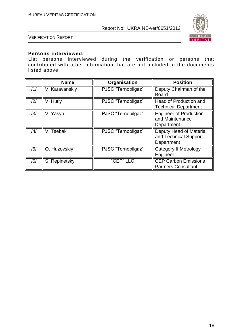

VERIFICATION REPORT

#### **Persons interviewed:**

List persons interviewed during the verification or persons that contributed with other information that are not included in the documents listed above.

|     | <b>Name</b>    | Organisation       | <b>Position</b>                                                |
|-----|----------------|--------------------|----------------------------------------------------------------|
| /1/ | V. Karavanskiy | PJSC "Ternopilgaz" | Deputy Chairman of the<br><b>Board</b>                         |
| 2   | V. Hutiy       | PJSC "Ternopilgaz" | Head of Production and<br><b>Technical Department</b>          |
| /3/ | V. Yasyn       | PJSC "Ternopilgaz" | <b>Engineer of Production</b><br>and Maintenance<br>Department |
| /4/ | V. Tsebak      | PJSC "Ternopilgaz" | Deputy Head of Material<br>and Technical Support<br>Department |
| /5/ | O. Huzovskiy   | PJSC "Ternopilgaz" | <b>Category II Metrology</b><br>Engineer                       |
| /6/ | S. Repinetskyi | "CEP" LLC          | <b>CEP Carbon Emissions</b><br><b>Partners Consultant</b>      |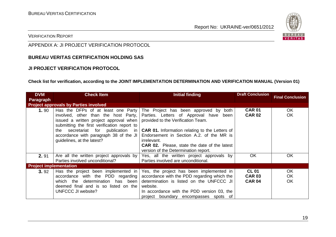

#### VERIFICATION REPORT

# APPENDIX A: JI PROJECT VERIFICATION PROTOCOL

#### **BUREAU VERITAS CERTIFICATION HOLDING SAS**

#### **JI PROJECT VERIFICATION PROTOCOL**

#### **Check list for verification, according to the JOINT IMPLEMENTATION DETERMINATION AND VERIFICATION MANUAL (Version 01)**

| <b>DVM</b><br><b>Paragraph</b> | <b>Check Item</b>                                                                                                                                                                                                                                                                    | Initial finding                                                                                                                                                                                                                                                                                         | <b>Draft Conclusion</b>                        | <b>Final Conclusion</b> |
|--------------------------------|--------------------------------------------------------------------------------------------------------------------------------------------------------------------------------------------------------------------------------------------------------------------------------------|---------------------------------------------------------------------------------------------------------------------------------------------------------------------------------------------------------------------------------------------------------------------------------------------------------|------------------------------------------------|-------------------------|
|                                | <b>Project approvals by Parties involved</b>                                                                                                                                                                                                                                         |                                                                                                                                                                                                                                                                                                         |                                                |                         |
| 1.90                           | Has the DFPs of at least one Party<br>involved, other than the host Party,<br>issued a written project approval when<br>submitting the first verification report to<br>secretariat for publication in<br>the<br>accordance with paragraph 38 of the JI<br>guidelines, at the latest? | The Project has been approved by both<br>Parties. Letters of Approval have been<br>provided to the Verification Team.<br><b>CAR 01.</b> Information relating to the Letters of<br>Endorsement in Section A.2. of the MR is<br><i>irrelevant.</i><br><b>CAR 02.</b> Please, state the date of the latest | <b>CAR 01</b><br><b>CAR 02</b>                 | OK.<br>OK               |
| 2.91                           | Are all the written project approvals by<br>Parties involved unconditional?                                                                                                                                                                                                          | version of the Determination report.<br>Yes, all the written project approvals by<br>Parties involved are unconditional.                                                                                                                                                                                | OK.                                            | <b>OK</b>               |
| <b>Project implementation</b>  |                                                                                                                                                                                                                                                                                      |                                                                                                                                                                                                                                                                                                         |                                                |                         |
| 3.92                           | Has the project been implemented in<br>accordance with the PDD regarding<br>determination has been<br>which the<br>deemed final and is so listed on the<br>UNFCCC JI website?                                                                                                        | Yes, the project has been implemented in<br>accordance with the PDD regarding which the<br>determination is listed on the UNFCCC JI<br>website.<br>In accordance with the PDD version 03, the<br>project boundary encompasses spots of                                                                  | <b>CL 01</b><br><b>CAR 03</b><br><b>CAR 04</b> | <b>OK</b><br>OK<br>OK   |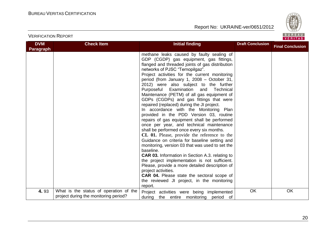

| <b>DVM</b>       | <b>Check Item</b>                                                               | <b>Initial finding</b>                                                                                                                                                                                                                                                                                                                                                                                                                                                                                                                                                                                                                                                                                                                                                                                                                                                                                                                                                                                                                                                                                                                                                                                     | <b>Draft Conclusion</b> | <b>Final Conclusion</b> |
|------------------|---------------------------------------------------------------------------------|------------------------------------------------------------------------------------------------------------------------------------------------------------------------------------------------------------------------------------------------------------------------------------------------------------------------------------------------------------------------------------------------------------------------------------------------------------------------------------------------------------------------------------------------------------------------------------------------------------------------------------------------------------------------------------------------------------------------------------------------------------------------------------------------------------------------------------------------------------------------------------------------------------------------------------------------------------------------------------------------------------------------------------------------------------------------------------------------------------------------------------------------------------------------------------------------------------|-------------------------|-------------------------|
| <b>Paragraph</b> |                                                                                 | methane leaks caused by faulty sealing of<br>GDP (CGDP) gas equipment, gas fittings,<br>flanged and threaded joints of gas distribution<br>networks of PJSC "Ternopilgaz".<br>Project activities for the current monitoring<br>period (from January 1, 2008 - October 31,<br>2012) were also subject to the further<br>Purposeful<br>Examination<br>Technical<br>and<br>Maintenance (PETM) of all gas equipment of<br>GDPs (CGDPs) and gas fittings that were<br>repaired (replaced) during the JI project.<br>In accordance with the Monitoring Plan<br>provided in the PDD Version 03, routine<br>repairs of gas equipment shall be performed<br>once per year, and technical maintenance<br>shall be performed once every six months.<br>CL 01. Please, provide the reference to the<br>Guidance on criteria for baseline setting and<br>monitoring, version 03 that was used to set the<br>baseline.<br><b>CAR 03.</b> Information in Section A.3. relating to<br>the project implementation is not sufficient.<br>Please, provide a more detailed description of<br>project activities.<br><b>CAR 04.</b> Please state the sectoral scope of<br>the reviewed JI project, in the monitoring<br>report. |                         |                         |
| 4.93             | What is the status of operation of the<br>project during the monitoring period? | Project activities were being implemented<br>during<br>the entire monitoring period of                                                                                                                                                                                                                                                                                                                                                                                                                                                                                                                                                                                                                                                                                                                                                                                                                                                                                                                                                                                                                                                                                                                     | <b>OK</b>               | OK                      |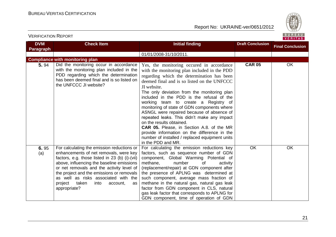

| <b>DVM</b>  | <b>Check Item</b>                                                                                                                                                                                                                                                                                                                                                                   | <b>Initial finding</b>                                                                                                                                                                                                                                                                                                                                                                                                                                                                                                                                                                                                                                                                       | <b>Draft Conclusion</b> | <b>Final Conclusion</b> |  |  |  |  |  |
|-------------|-------------------------------------------------------------------------------------------------------------------------------------------------------------------------------------------------------------------------------------------------------------------------------------------------------------------------------------------------------------------------------------|----------------------------------------------------------------------------------------------------------------------------------------------------------------------------------------------------------------------------------------------------------------------------------------------------------------------------------------------------------------------------------------------------------------------------------------------------------------------------------------------------------------------------------------------------------------------------------------------------------------------------------------------------------------------------------------------|-------------------------|-------------------------|--|--|--|--|--|
| Paragraph   |                                                                                                                                                                                                                                                                                                                                                                                     |                                                                                                                                                                                                                                                                                                                                                                                                                                                                                                                                                                                                                                                                                              |                         |                         |  |  |  |  |  |
|             |                                                                                                                                                                                                                                                                                                                                                                                     | 01/01/2008-31/10/2011.                                                                                                                                                                                                                                                                                                                                                                                                                                                                                                                                                                                                                                                                       |                         |                         |  |  |  |  |  |
|             | <b>Compliance with monitoring plan</b>                                                                                                                                                                                                                                                                                                                                              |                                                                                                                                                                                                                                                                                                                                                                                                                                                                                                                                                                                                                                                                                              |                         |                         |  |  |  |  |  |
| 5.94        | Did the monitoring occur in accordance<br>with the monitoring plan included in the<br>PDD regarding which the determination<br>has been deemed final and is so listed on<br>the UNFCCC JI website?                                                                                                                                                                                  | Yes, the monitoring occured in accordance<br>with the monitoring plan included in the PDD<br>regarding which the determination has been<br>deemed final and is so listed on the UNFCCC<br>JI website.<br>The only deviation from the monitoring plan<br>included in the PDD is the refusal of the<br>working team to create a Registry of<br>monitoring of state of GDN components where<br>ASNGL were repaired because of absence of<br>repeated leaks. This didn't make any impact<br>on the results obtained.<br><b>CAR 05.</b> Please, in Section A.8. of the MR<br>provide information on the difference in the<br>number of installed / replaced equipment units<br>in the PDD and MR. | <b>CAR 05</b>           | OK                      |  |  |  |  |  |
| 6.95<br>(a) | For calculating the emission reductions or<br>enhancements of net removals, were key<br>factors, e.g. those listed in 23 (b) (i)-(vii)<br>above, influencing the baseline emissions<br>or net removals and the activity level of<br>the project and the emissions or removals<br>as well as risks associated with the<br>project<br>taken<br>into<br>account,<br>as<br>appropriate? | For calculating the emission reductions key<br>factors, such as sequence number of GDN<br>component, Global Warming Potential of<br>methane,<br>number<br>0f<br>activity<br>(replacement/repair) at GDN component after<br>the presence of APLNG was determined at<br>such component, average mass fraction of<br>methane in the natural gas, natural gas leak<br>factor from GDN component in CLS, natural<br>gas leak factor that corresponds to APLNG for<br>GDN component, time of operation of GDN                                                                                                                                                                                      | OK                      | OK                      |  |  |  |  |  |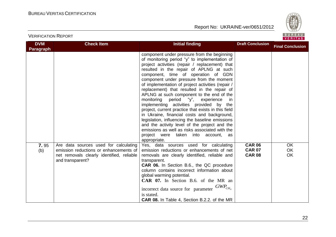

| <b>DVM</b>       | <b>Check Item</b>                                                                                                                                | <b>Initial finding</b>                                                                                                                                                                                                                                                                                                                                                                                                                                                                                                                                                                                                                                                                                                                                                                                                                        | <b>Draft Conclusion</b>                         | <b>Final Conclusion</b>      |
|------------------|--------------------------------------------------------------------------------------------------------------------------------------------------|-----------------------------------------------------------------------------------------------------------------------------------------------------------------------------------------------------------------------------------------------------------------------------------------------------------------------------------------------------------------------------------------------------------------------------------------------------------------------------------------------------------------------------------------------------------------------------------------------------------------------------------------------------------------------------------------------------------------------------------------------------------------------------------------------------------------------------------------------|-------------------------------------------------|------------------------------|
| <b>Paragraph</b> |                                                                                                                                                  |                                                                                                                                                                                                                                                                                                                                                                                                                                                                                                                                                                                                                                                                                                                                                                                                                                               |                                                 |                              |
|                  |                                                                                                                                                  | component under pressure from the beginning<br>of monitoring period "y" to implementation of<br>project activities (repair / replacement) that<br>resulted in the repair of APLNG at such<br>component, time of operation of GDN<br>component under pressure from the moment<br>of implementation of project activities (repair /<br>replacement) that resulted in the repair of<br>APLNG at such component to the end of the<br>monitoring<br>period "y", experience<br>-in<br>implementing activities provided by the<br>project, current practice that exists in this field<br>in Ukraine, financial costs and background,<br>legislation, influencing the baseline emissions<br>and the activity level of the project and the<br>emissions as well as risks associated with the<br>project were taken into account,<br>as<br>appropriate. |                                                 |                              |
| 7.95<br>(b)      | Are data sources used for calculating<br>emission reductions or enhancements of<br>net removals clearly identified, reliable<br>and transparent? | Yes, data sources used for calculating<br>emission reductions or enhancements of net<br>removals are clearly identified, reliable and<br>transparent.<br>CAR 06. In Section B.6., the QC procedure<br>column contains incorrect information about<br>global warming potential.<br><b>CAR 07.</b> In Section B.6. of the MR an<br>$GWP_{CH_4}$<br>incorrect data source for parameter<br>is stated.<br><b>CAR 08.</b> In Table 4, Section B.2.2. of the MR                                                                                                                                                                                                                                                                                                                                                                                     | <b>CAR 06</b><br><b>CAR 07</b><br><b>CAR 08</b> | OK<br><b>OK</b><br><b>OK</b> |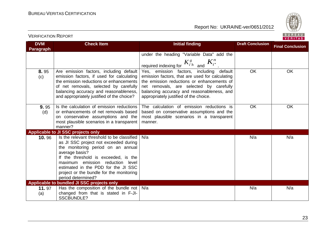

| <b>DVM</b><br>Paragraph | <b>Check Item</b>                                                                                                                                                                                                                                                                                                                   | <b>Initial finding</b>                                                                                                                                                                                                                                                       | <b>Draft Conclusion</b> | <b>Final Conclusion</b> |
|-------------------------|-------------------------------------------------------------------------------------------------------------------------------------------------------------------------------------------------------------------------------------------------------------------------------------------------------------------------------------|------------------------------------------------------------------------------------------------------------------------------------------------------------------------------------------------------------------------------------------------------------------------------|-------------------------|-------------------------|
|                         |                                                                                                                                                                                                                                                                                                                                     | under the heading "Variable Data" add the<br>required indexing for $K_{i'h}^g$ and $K_{i''}^n$                                                                                                                                                                               |                         |                         |
| 8.95<br>(c)             | Are emission factors, including default<br>emission factors, if used for calculating<br>the emission reductions or enhancements<br>of net removals, selected by carefully<br>balancing accuracy and reasonableness,<br>and appropriately justified of the choice?                                                                   | Yes, emission factors, including default<br>emission factors, that are used for calculating<br>the emission reductions or enhancements of<br>net removals, are selected by carefully<br>balancing accuracy and reasonableness, and<br>appropriately justified of the choice. | <b>OK</b>               | <b>OK</b>               |
| 9.95<br>(d)             | Is the calculation of emission reductions<br>or enhancements of net removals based<br>on conservative assumptions and the<br>most plausible scenarios in a transparent<br>manner?                                                                                                                                                   | The calculation of emission reductions is<br>based on conservative assumptions and the<br>most plausible scenarios in a transparent<br>manner.                                                                                                                               | <b>OK</b>               | OK                      |
|                         | Applicable to JI SSC projects only                                                                                                                                                                                                                                                                                                  |                                                                                                                                                                                                                                                                              |                         |                         |
| 10.96                   | Is the relevant threshold to be classified<br>as JI SSC project not exceeded during<br>the monitoring period on an annual<br>average basis?<br>If the threshold is exceeded, is the<br>maximum emission<br>reduction level<br>estimated in the PDD for the JI SSC<br>project or the bundle for the monitoring<br>period determined? | N/a                                                                                                                                                                                                                                                                          | N/a                     | N/a                     |
|                         | Applicable to bundled JI SSC projects only                                                                                                                                                                                                                                                                                          |                                                                                                                                                                                                                                                                              |                         |                         |
| 11.97<br>(a)            | Has the composition of the bundle not $\vert$ N/a<br>changed from that is stated in F-JI-<br><b>SSCBUNDLE?</b>                                                                                                                                                                                                                      |                                                                                                                                                                                                                                                                              | N/a                     | N/a                     |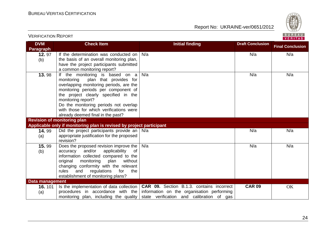

| <b>DVM</b>                       | <b>Check Item</b>                                                                                                                                                                                                                                                                                                                                | <b>Initial finding</b>                                                                                                                      | <b>Draft Conclusion</b> | <b>Final Conclusion</b> |
|----------------------------------|--------------------------------------------------------------------------------------------------------------------------------------------------------------------------------------------------------------------------------------------------------------------------------------------------------------------------------------------------|---------------------------------------------------------------------------------------------------------------------------------------------|-------------------------|-------------------------|
| <b>Paragraph</b><br>12.97<br>(b) | If the determination was conducted on<br>the basis of an overall monitoring plan,<br>have the project participants submitted<br>a common monitoring report?                                                                                                                                                                                      | N/a                                                                                                                                         | N/a                     | N/a                     |
| 13.98                            | If the monitoring is based on a<br>monitoring<br>plan that provides for<br>overlapping monitoring periods, are the<br>monitoring periods per component of<br>the project clearly specified in the<br>monitoring report?<br>Do the monitoring periods not overlap<br>with those for which verifications were<br>already deemed final in the past? | N/a                                                                                                                                         | N/a                     | N/a                     |
|                                  | <b>Revision of monitoring plan</b>                                                                                                                                                                                                                                                                                                               |                                                                                                                                             |                         |                         |
|                                  | Applicable only if monitoring plan is revised by project participant                                                                                                                                                                                                                                                                             |                                                                                                                                             |                         |                         |
| 14.99<br>(a)                     | Did the project participants provide an  <br>appropriate justification for the proposed<br>revision?                                                                                                                                                                                                                                             | N/a                                                                                                                                         | N/a                     | N/a                     |
| 15.99<br>(b)                     | Does the proposed revision improve the<br>and/or<br>applicability<br>0f<br>accuracy<br>information collected compared to the<br>without<br>original<br>monitoring<br>plan<br>changing conformity with the relevant<br>rules<br>regulations<br>and<br>for<br>the<br>establishment of monitoring plans?                                            | N/a                                                                                                                                         | N/a                     | N/a                     |
| <b>Data management</b>           |                                                                                                                                                                                                                                                                                                                                                  |                                                                                                                                             |                         |                         |
| 16.101<br>(a)                    | Is the implementation of data collection<br>procedures in accordance with the<br>monitoring plan, including the quality                                                                                                                                                                                                                          | <b>CAR 09.</b> Section B.1.3. contains incorrect<br>information on the organisation performing<br>state verification and calibration of gas | <b>CAR 09</b>           | OK                      |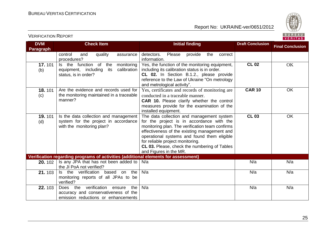

| <b>DVM</b>            | <b>Check Item</b>                                                                                                        | <b>Initial finding</b>                                                                                                                                                                                                                                                                                                                                 | <b>Draft Conclusion</b> | <b>Final Conclusion</b> |
|-----------------------|--------------------------------------------------------------------------------------------------------------------------|--------------------------------------------------------------------------------------------------------------------------------------------------------------------------------------------------------------------------------------------------------------------------------------------------------------------------------------------------------|-------------------------|-------------------------|
| <b>Paragraph</b>      |                                                                                                                          |                                                                                                                                                                                                                                                                                                                                                        |                         |                         |
|                       | control<br>quality<br>and<br>assurance<br>procedures?                                                                    | detectors.<br>Please<br>provide<br>the<br>correct<br>information.                                                                                                                                                                                                                                                                                      |                         |                         |
| <b>17.</b> 101<br>(b) | Is the function of<br>the<br>monitoring<br>equipment, including<br>calibration<br>its<br>status, is in order?            | Yes, the function of the monitoring equipment,<br>including its calibration status is in order.<br>CL 02. In Section B.1.2., please provide<br>reference to the Law of Ukraine "On metrology<br>and metrological activity".                                                                                                                            | <b>CL 02</b>            | OK                      |
| 18.101<br>(c)         | Are the evidence and records used for<br>the monitoring maintained in a traceable<br>manner?                             | Yes, certificates and records of monitoring are<br>conducted in a traceable manner.<br>CAR 10. Please clarify whether the control<br>measures provide for the examination of the<br>installed equipment.                                                                                                                                               | <b>CAR 10</b>           | OK                      |
| <b>19.101</b><br>(d)  | Is the data collection and management<br>system for the project in accordance<br>with the monitoring plan?               | The data collection and management system<br>for the project is in accordance with the<br>monitoring plan. The verification team confirms<br>effectiveness of the existing management and<br>operational systems and found them eligible<br>for reliable project monitoring.<br>CL 03. Please, check the numbering of Tables<br>and Figures in the MR. | $CL$ 03                 | <b>OK</b>               |
|                       | Verification regarding programs of activities (additional elements for assessment)                                       |                                                                                                                                                                                                                                                                                                                                                        |                         |                         |
| 20.102                | Is any JPA that has not been added to<br>the JI PoA not verified?                                                        | N/a                                                                                                                                                                                                                                                                                                                                                    | N/a                     | N/a                     |
| 21.103                | Is the verification<br>based on<br>the<br>monitoring reports of all JPAs to be<br>verified?                              | N/a                                                                                                                                                                                                                                                                                                                                                    | N/a                     | N/a                     |
| 22.103                | verification<br>the<br>Does the<br>ensure<br>accuracy and conservativeness of the<br>emission reductions or enhancements | N/a                                                                                                                                                                                                                                                                                                                                                    | N/a                     | N/a                     |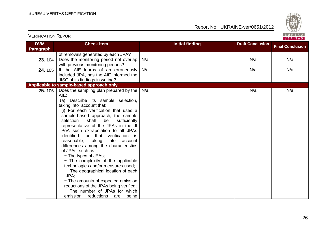VERIFICATION REPORT

Report No: UKRAINE-ver/0651/2012



| <b>DVM</b> | <b>Check Item</b>                        | <b>Initial finding</b> | <b>Draft Conclusion</b> | <b>Final Conclusion</b> |
|------------|------------------------------------------|------------------------|-------------------------|-------------------------|
| Paragraph  |                                          |                        |                         |                         |
|            | of removals generated by each JPA?       |                        |                         |                         |
| 23.104     | Does the monitoring period not overlap   | N/a                    | N/a                     | N/a                     |
|            | with previous monitoring periods?        |                        |                         |                         |
| 24.105     | If the AIE learns of an erroneously      | N/a                    | N/a                     | N/a                     |
|            | included JPA, has the AIE informed the   |                        |                         |                         |
|            | JISC of its findings in writing?         |                        |                         |                         |
|            | Applicable to sample-based approach only |                        |                         |                         |
| 25.106     | Does the sampling plan prepared by the   | N/a                    | N/a                     | N/a                     |
|            | AIE:                                     |                        |                         |                         |
|            | (a)<br>Describe its sample selection,    |                        |                         |                         |
|            | taking into account that:                |                        |                         |                         |
|            | (i) For each verification that uses a    |                        |                         |                         |
|            | sample-based approach, the sample        |                        |                         |                         |
|            | selection<br>shall<br>be<br>sufficiently |                        |                         |                         |
|            | representative of the JPAs in the JI     |                        |                         |                         |
|            | PoA such extrapolation to all JPAs       |                        |                         |                         |
|            | identified for that verification is      |                        |                         |                         |
|            | reasonable, taking<br>into<br>account    |                        |                         |                         |
|            | differences among the characteristics    |                        |                         |                         |
|            | of JPAs, such as:                        |                        |                         |                         |
|            | - The types of JPAs;                     |                        |                         |                         |
|            | - The complexity of the applicable       |                        |                         |                         |
|            | technologies and/or measures used;       |                        |                         |                         |
|            | - The geographical location of each      |                        |                         |                         |
|            | JPA:                                     |                        |                         |                         |
|            | - The amounts of expected emission       |                        |                         |                         |
|            | reductions of the JPAs being verified;   |                        |                         |                         |
|            | - The number of JPAs for which           |                        |                         |                         |
|            | emission<br>reductions<br>are<br>being   |                        |                         |                         |

26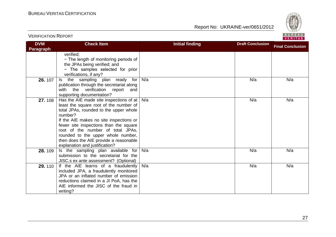

| <b>DVM</b> | <b>Check Item</b>                                                           | <b>Initial finding</b> | <b>Draft Conclusion</b> | <b>Final Conclusion</b> |
|------------|-----------------------------------------------------------------------------|------------------------|-------------------------|-------------------------|
| Paragraph  |                                                                             |                        |                         |                         |
|            | verified:                                                                   |                        |                         |                         |
|            | - The length of monitoring periods of                                       |                        |                         |                         |
|            | the JPAs being verified; and                                                |                        |                         |                         |
|            | - The samples selected for prior                                            |                        |                         |                         |
|            | verifications, if any?                                                      |                        |                         |                         |
| 26.107     | the sampling plan ready<br>for<br>ls.                                       | N/a                    | N/a                     | N/a                     |
|            | publication through the secretariat along                                   |                        |                         |                         |
|            | with the verification report<br>and                                         |                        |                         |                         |
|            | supporting documentation?                                                   |                        |                         |                         |
| 27.108     | Has the AIE made site inspections of at                                     | N/a                    | N/a                     | N/a                     |
|            | least the square root of the number of                                      |                        |                         |                         |
|            | total JPAs, rounded to the upper whole                                      |                        |                         |                         |
|            | number?                                                                     |                        |                         |                         |
|            | If the AIE makes no site inspections or                                     |                        |                         |                         |
|            | fewer site inspections than the square<br>root of the number of total JPAs, |                        |                         |                         |
|            | rounded to the upper whole number,                                          |                        |                         |                         |
|            | then does the AIE provide a reasonable                                      |                        |                         |                         |
|            | explanation and justification?                                              |                        |                         |                         |
| 28.109     | Is the sampling plan available for                                          | N/a                    | N/a                     | N/a                     |
|            | submission to the secretariat for the                                       |                        |                         |                         |
|            | JISC.s ex ante assessment? (Optional)                                       |                        |                         |                         |
| 29.110     | If the AIE learns of a fraudulently                                         | N/a                    | N/a                     | N/a                     |
|            | included JPA, a fraudulently monitored                                      |                        |                         |                         |
|            | JPA or an inflated number of emission                                       |                        |                         |                         |
|            | reductions claimed in a JI PoA, has the                                     |                        |                         |                         |
|            | AIE informed the JISC of the fraud in                                       |                        |                         |                         |
|            | writing?                                                                    |                        |                         |                         |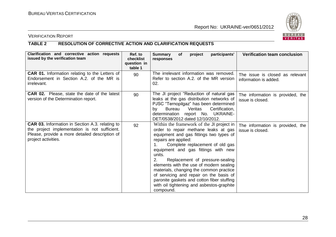

# VERIFICATION REPORT

# **TABLE 2 RESOLUTION OF CORRECTIVE ACTION AND CLARIFICATION REQUESTS**

| Clarification and corrective action requests<br>issued by the verification team                                                                                                  | Ref. to<br>checklist<br>question in<br>table 1 | participants'<br><b>Summary</b><br>of<br>project<br>responses                                                                                                                                                                                                                                                                                                                                                                                                                                                                             | <b>Verification team conclusion</b>                      |
|----------------------------------------------------------------------------------------------------------------------------------------------------------------------------------|------------------------------------------------|-------------------------------------------------------------------------------------------------------------------------------------------------------------------------------------------------------------------------------------------------------------------------------------------------------------------------------------------------------------------------------------------------------------------------------------------------------------------------------------------------------------------------------------------|----------------------------------------------------------|
| <b>CAR 01.</b> Information relating to the Letters of<br>Endorsement in Section A.2, of the MR is<br>irrelevant.                                                                 | 90                                             | The irrelevant information was removed.<br>Refer to section A.2. of the MR version<br>02.                                                                                                                                                                                                                                                                                                                                                                                                                                                 | The issue is closed as relevant<br>information is added. |
| <b>CAR 02.</b> Please, state the date of the latest<br>version of the Determination report.                                                                                      | 90                                             | The JI project "Reduction of natural gas<br>leaks at the gas distribution networks of<br>PJSC "Ternopilgaz" has been determined<br><b>Bureau</b><br>Certification,<br>Veritas<br>by<br>determination report No. UKRAINE-<br>DET/0538/2012 dated 12/10/2012.                                                                                                                                                                                                                                                                               | The information is provided, the<br>issue is closed.     |
| <b>CAR 03.</b> Information in Section A.3. relating to<br>the project implementation is not sufficient.<br>Please, provide a more detailed description of<br>project activities. | 92                                             | Within the framework of the JI project in<br>order to repair methane leaks at gas<br>equipment and gas fittings two types of<br>repairs are applied:<br>Complete replacement of old gas<br>$1_{\cdot}$<br>equipment and gas fittings with new<br>units.<br>Replacement of pressure-sealing<br>2.<br>elements with the use of modern sealing<br>materials, changing the common practice<br>of servicing and repair on the basis of<br>paronite gaskets and cotton fiber stuffing<br>with oil tightening and asbestos-graphite<br>compound. | The information is provided, the<br>issue is closed.     |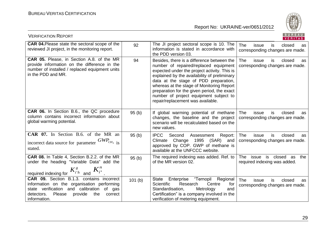

| <b>VERIFICATION REPORT</b>                                                                                                                                                                                   |        |                                                                                                                                                                                                                                                                                                                                                                                                         | BUREAU<br>VERITAS                                                            |
|--------------------------------------------------------------------------------------------------------------------------------------------------------------------------------------------------------------|--------|---------------------------------------------------------------------------------------------------------------------------------------------------------------------------------------------------------------------------------------------------------------------------------------------------------------------------------------------------------------------------------------------------------|------------------------------------------------------------------------------|
| <b>CAR 04. Please state the sectoral scope of the</b><br>reviewed JI project, in the monitoring report.                                                                                                      | 92     | The JI project sectoral scope is 10. The<br>information is stated in accordance with<br>the PDD version 03.                                                                                                                                                                                                                                                                                             | <b>The</b><br>closed<br>issue<br>is<br>as<br>corresponding changes are made. |
| CAR 05. Please, in Section A.8. of the MR<br>provide information on the difference in the<br>number of installed / replaced equipment units<br>in the PDD and MR.                                            | 94     | Besides, there is a difference between the<br>number of repaired/replaced equipment<br>expected under the project activity. This is<br>explained by the availability of preliminary<br>data at the stage of PDD preparation,<br>whereas at the stage of Monitoring Report<br>preparation for the given period, the exact<br>number of project equipment subject to<br>repair/replacement was available. | The<br>closed<br>issue<br>is<br>as<br>corresponding changes are made.        |
| CAR 06. In Section B.6., the QC procedure<br>column contains incorrect information about<br>global warming potential.                                                                                        | 95(b)  | If global warming potential of methane<br>changes, the baseline and the project<br>scenario will be recalculated based on the<br>new values.                                                                                                                                                                                                                                                            | The<br>issue<br>is<br>closed<br>as<br>corresponding changes are made.        |
| CAR 07. In Section B.6. of the MR an<br>incorrect data source for parameter $GWP_{CH_4}$ is<br>stated.                                                                                                       | 95(b)  | <b>IPCC</b><br>Second<br>Assessment<br>Report:<br>Change<br>1995 (SAR)<br>Climate<br>and<br>approved by COP. GWP of methane is<br>available at the UNFCCC website.                                                                                                                                                                                                                                      | The<br>issue<br>is<br>closed<br>as<br>corresponding changes are made.        |
| CAR 08. In Table 4, Section B.2.2. of the MR<br>under the heading "Variable Data" add the<br>required indexing for $K_{i'h}^g$ and $K_{i''}^n$                                                               | 95(b)  | The required indexing was added. Ref. to  <br>of the MR version 02.                                                                                                                                                                                                                                                                                                                                     | The issue is closed as the<br>required indexing was added.                   |
| CAR 09. Section B.1.3. contains incorrect<br>information on the organisation performing<br>state verification and calibration<br>of gas<br>Please<br>provide<br>the<br>detectors.<br>correct<br>information. | 101(b) | "Ternopil Regional<br><b>State</b><br>Enterprise<br>Scientific<br>Research<br>Centre<br>for<br>Standardisation,<br>Metrology<br>and<br>Certification" is a company involved in the<br>verification of metering equipment.                                                                                                                                                                               | <b>The</b><br>issue<br>is<br>closed<br>as<br>corresponding changes are made. |